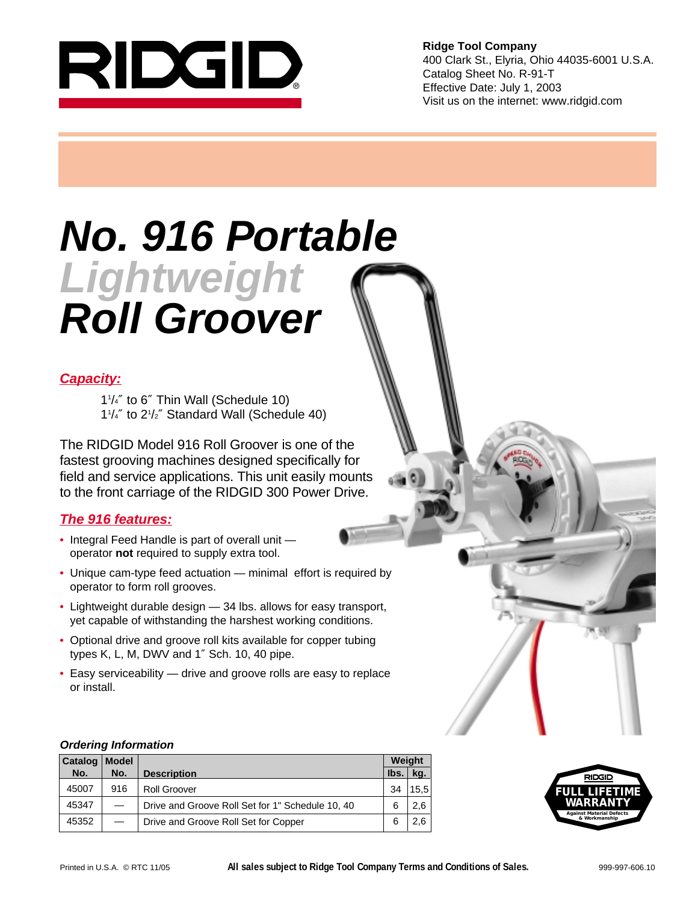

**Ridge Tool Company** 400 Clark St., Elyria, Ohio 44035-6001 U.S.A. Catalog Sheet No. R-91-T Effective Date: July 1, 2003 Visit us on the internet: www.ridgid.com

# **No. 916 Portable Lightweight Roll Groover**

### **Capacity:**

11 /4″ to 6″ Thin Wall (Schedule 10) 11 /4″ to 21 /2″ Standard Wall (Schedule 40)

The RIDGID Model 916 Roll Groover is one of the fastest grooving machines designed specifically for field and service applications. This unit easily mounts to the front carriage of the RIDGID 300 Power Drive.

### **The 916 features:**

- Integral Feed Handle is part of overall unit operator **not** required to supply extra tool.
- Unique cam-type feed actuation minimal effort is required by operator to form roll grooves.
- Lightweight durable design 34 lbs. allows for easy transport, yet capable of withstanding the harshest working conditions.
- Optional drive and groove roll kits available for copper tubing types K, L, M, DWV and 1″ Sch. 10, 40 pipe.
- Easy serviceability drive and groove rolls are easy to replace or install.

### **Ordering Information**

| Catalog | <b>Model</b> |                                                  | Weight |      |
|---------|--------------|--------------------------------------------------|--------|------|
| No.     | No.          | <b>Description</b>                               | Ibs.   | kg.  |
| 45007   | 916          | <b>Roll Groover</b>                              | 34     | 15.5 |
| 45347   |              | Drive and Groove Roll Set for 1" Schedule 10, 40 | 6      | 2.6  |
| 45352   |              | Drive and Groove Roll Set for Copper             | 6      | 2.6  |